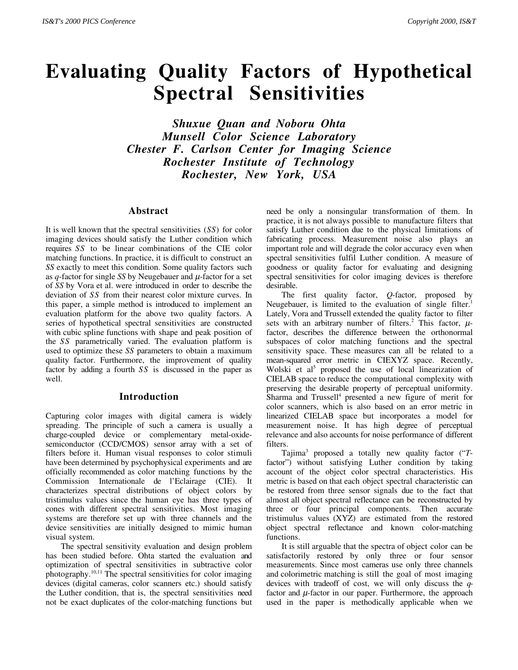# **Evaluating Quality Factors of Hypothetical Spectral Sensitivities**

*Shuxue Quan and Noboru Ohta Munsell Color Science Laboratory Chester F. Carlson Center for Imaging Science Rochester Institute of Technology Rochester, New York, USA*

#### **Abstract**

It is well known that the spectral sensitivities (*SS*) for color imaging devices should satisfy the Luther condition which requires *SS* to be linear combinations of the CIE color matching functions. In practice, it is difficult to construct an *SS* exactly to meet this condition. Some quality factors such as  $q$ -factor for single *SS* by Neugebauer and  $\mu$ -factor for a set of *SS* by Vora et al. were introduced in order to describe the deviation of *SS* from their nearest color mixture curves. In this paper, a simple method is introduced to implement an evaluation platform for the above two quality factors. A series of hypothetical spectral sensitivities are constructed with cubic spline functions with shape and peak position of the *SS* parametrically varied. The evaluation platform is used to optimize these *SS* parameters to obtain a maximum quality factor. Furthermore, the improvement of quality factor by adding a fourth *SS* is discussed in the paper as well.

#### **Introduction**

Capturing color images with digital camera is widely spreading. The principle of such a camera is usually a charge-coupled device or complementary metal-oxidesemiconductor (CCD/CMOS) sensor array with a set of filters before it. Human visual responses to color stimuli have been determined by psychophysical experiments and are officially recommended as color matching functions by the Commission Internationale de l'Eclairage (CIE). It characterizes spectral distributions of object colors by tristimulus values since the human eye has three types of cones with different spectral sensitivities. Most imaging systems are therefore set up with three channels and the device sensitivities are initially designed to mimic human visual system.

The spectral sensitivity evaluation and design problem has been studied before. Ohta started the evaluation and optimization of spectral sensitivities in subtractive color photography.10,11 The spectral sensitivities for color imaging devices (digital cameras, color scanners etc.) should satisfy the Luther condition, that is, the spectral sensitivities need not be exact duplicates of the color-matching functions but

need be only a nonsingular transformation of them. In practice, it is not always possible to manufacture filters that satisfy Luther condition due to the physical limitations of fabricating process. Measurement noise also plays an important role and will degrade the color accuracy even when spectral sensitivities fulfil Luther condition. A measure of goodness or quality factor for evaluating and designing spectral sensitivities for color imaging devices is therefore desirable.

The first quality factor, *Q*-factor, proposed by Neugebauer, is limited to the evaluation of single filter.<sup>1</sup> Lately, Vora and Trussell extended the quality factor to filter sets with an arbitrary number of filters.<sup>2</sup> This factor,  $\mu$ factor, describes the difference between the orthonormal subspaces of color matching functions and the spectral sensitivity space. These measures can all be related to a mean-squared error metric in CIEXYZ space. Recently, Wolski et al<sup>5</sup> proposed the use of local linearization of CIELAB space to reduce the computational complexity with preserving the desirable property of perceptual uniformity. Sharma and Trussell<sup>4</sup> presented a new figure of merit for color scanners, which is also based on an error metric in linearized CIELAB space but incorporates a model for measurement noise. It has high degree of perceptual relevance and also accounts for noise performance of different filters.

Tajima3 proposed a totally new quality factor ("*T*factor") without satisfying Luther condition by taking account of the object color spectral characteristics. His metric is based on that each object spectral characteristic can be restored from three sensor signals due to the fact that almost all object spectral reflectance can be reconstructed by three or four principal components. Then accurate tristimulus values (XYZ) are estimated from the restored object spectral reflectance and known color-matching functions.

It is still arguable that the spectra of object color can be satisfactorily restored by only three or four sensor measurements. Since most cameras use only three channels and colorimetric matching is still the goal of most imaging devices with tradeoff of cost, we will only discuss the *q*factor and  $\mu$ -factor in our paper. Furthermore, the approach used in the paper is methodically applicable when we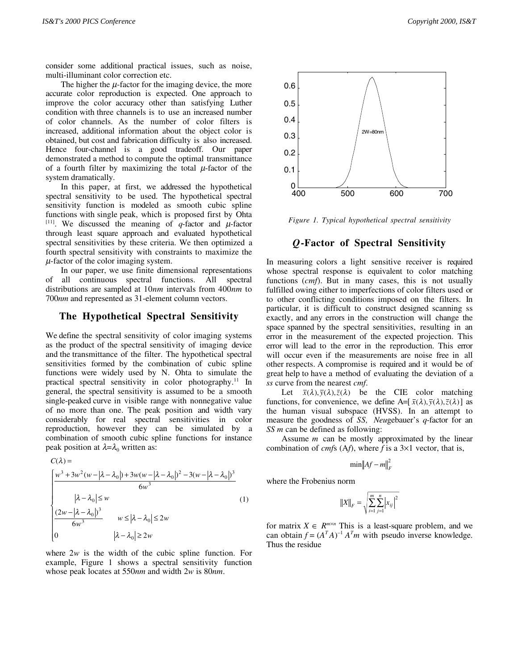consider some additional practical issues, such as noise, multi-illuminant color correction etc.

The higher the  $\mu$ -factor for the imaging device, the more accurate color reproduction is expected. One approach to improve the color accuracy other than satisfying Luther condition with three channels is to use an increased number of color channels. As the number of color filters is increased, additional information about the object color is obtained, but cost and fabrication difficulty is also increased. Hence four-channel is a good tradeoff. Our paper demonstrated a method to compute the optimal transmittance of a fourth filter by maximizing the total  $\mu$ -factor of the system dramatically.

In this paper, at first, we addressed the hypothetical spectral sensitivity to be used. The hypothetical spectral sensitivity function is modeled as smooth cubic spline functions with single peak, which is proposed first by Ohta <sup>[11]</sup>. We discussed the meaning of *q*-factor and  $\mu$ -factor through least square approach and evaluated hypothetical spectral sensitivities by these criteria. We then optimized a fourth spectral sensitivity with constraints to maximize the  $\mu$ -factor of the color imaging system.

In our paper, we use finite dimensional representations of all continuous spectral functions. All spectral distributions are sampled at 10*nm* intervals from 400*nm* to 700*nm* and represented as 31-element column vectors.

#### **The Hypothetical Spectral Sensitivity**

We define the spectral sensitivity of color imaging systems as the product of the spectral sensitivity of imaging device and the transmittance of the filter. The hypothetical spectral sensitivities formed by the combination of cubic spline functions were widely used by N. Ohta to simulate the practical spectral sensitivity in color photography.11 In general, the spectral sensitivity is assumed to be a smooth single-peaked curve in visible range with nonnegative value of no more than one. The peak position and width vary considerably for real spectral sensitivities in color reproduction, however they can be simulated by a combination of smooth cubic spline functions for instance peak position at  $λ = λ_0$  written as:

$$
C(\lambda) =
$$

$$
\begin{cases}\n\frac{w^3 + 3w^2(w - |\lambda - \lambda_0|) + 3w(w - |\lambda - \lambda_0|)^2 - 3(w - |\lambda - \lambda_0|)^3}{6w^3} \\
\frac{|\lambda - \lambda_0| \le w}{6w^3} \\
0\n\end{cases}
$$
\n
$$
(1)
$$
\n
$$
\begin{cases}\n2w - |\lambda - \lambda_0| \ge w \\
0\n\end{cases}
$$
\n
$$
w \le |\lambda - \lambda_0| \le 2w
$$

where  $2w$  is the width of the cubic spline function. For example, Figure 1 shows a spectral sensitivity function whose peak locates at 550*nm* and width 2*w* is 80*nm*.



*Figure 1. Typical hypothetical spectral sensitivity*

## *Q***-Factor of Spectral Sensitivity**

In measuring colors a light sensitive receiver is required whose spectral response is equivalent to color matching functions (*cmf*). But in many cases, this is not usually fulfilled owing either to imperfections of color filters used or to other conflicting conditions imposed on the filters. In particular, it is difficult to construct designed scanning ss exactly, and any errors in the construction will change the space spanned by the spectral sensitivities, resulting in an error in the measurement of the expected projection. This error will lead to the error in the reproduction. This error will occur even if the measurements are noise free in all other respects. A compromise is required and it would be of great help to have a method of evaluating the deviation of a *ss* curve from the nearest *cmf*.

Let  $\bar{x}(\lambda), \bar{y}(\lambda), \bar{z}(\lambda)$  be the CIE color matching functions, for convenience, we define A= $[\bar{x}(\lambda), \bar{y}(\lambda), \bar{z}(\lambda)]$  as the human visual subspace (HVSS). In an attempt to measure the goodness of *SS, Neu*gebauer's *q*-factor for an *SS m* can be defined as following:

Assume *m* can be mostly approximated by the linear combination of *cmf*s (A*f*), where *f* is a 3×1 vector, that is,

$$
\min \|Af - m\|_F^2
$$

where the Frobenius norm

$$
||X||_F = \sqrt{\sum_{i=1}^m \sum_{j=1}^n |x_{ij}|^2}
$$

for matrix  $X \in R^{m \times n}$  This is a least-square problem, and we can obtain  $f = (A^T A)^{-1} A^T m$  with pseudo inverse knowledge. Thus the residue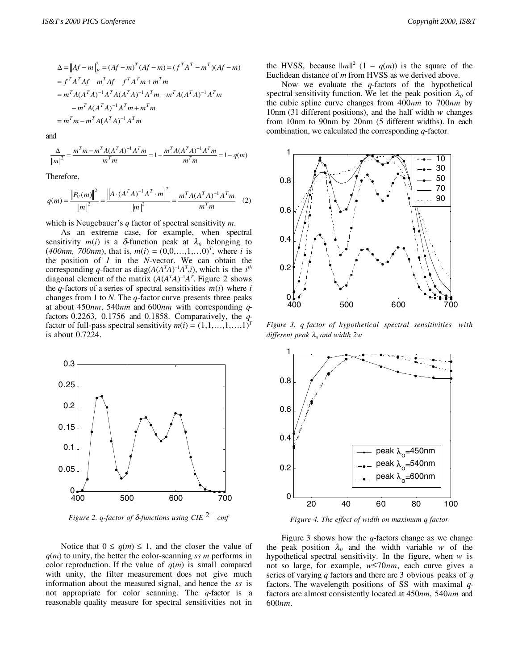$$
\Delta = ||Af - m||_F^2 = (Af - m)^T (Af - m) = (f^T A^T - m^T)(Af - m)
$$
  
=  $f^T A^T Af - m^T Af - f^T A^T m + m^T m$   
=  $m^T A (A^T A)^{-1} A^T A (A^T A)^{-1} A^T m - m^T A (A^T A)^{-1} A^T m$   
 $- m^T A (A^T A)^{-1} A^T m + m^T m$   
=  $m^T m - m^T A (A^T A)^{-1} A^T m$ 

and

$$
\frac{\Delta}{\|m\|^2} = \frac{m^T m - m^T A (A^T A)^{-1} A^T m}{m^T m} = 1 - \frac{m^T A (A^T A)^{-1} A^T m}{m^T m} = 1 - q(m)
$$

Therefore,

$$
q(m) = \frac{\left\| P_V(m) \right\|^2}{\left\| m \right\|^2} = \frac{\left\| A \cdot (A^T A)^{-1} A^T \cdot m \right\|^2}{\left\| m \right\|^2} = \frac{m^T A (A^T A)^{-1} A^T m}{m^T m} \tag{2}
$$

which is Neugebauer's *q* factor of spectral sensitivity *m*.

As an extreme case, for example, when spectral sensitivity  $m(i)$  is a  $\delta$ -function peak at  $\lambda_0$  belonging to  $(400nm, 700nm)$ , that is,  $m(i) = (0,0,...,1,...0)^T$ , where *i* is the position of *1* in the *N*-vector. We can obtain the corresponding *q*-factor as diag( $A(A^T A)^{-1} A^T$ ,*i*), which is the *i*<sup>th</sup> diagonal element of the matrix  $(A(A<sup>T</sup>A)<sup>-1</sup>A<sup>T</sup>$ . Figure 2 shows the *q*-factors of a series of spectral sensitivities  $m(i)$  where *i* changes from 1 to *N*. The *q*-factor curve presents three peaks at about 450*nm*, 540*nm* and 600*nm* with corresponding *q*factors 0.2263, 0.1756 and 0.1858. Comparatively, the *q*factor of full-pass spectral sensitivity  $m(i) = (1,1,...,1,...,1)^{T}$ is about 0.7224.



*Figure 2. q-factor of*  $\delta$ *-functions using CIE*  $2^{\circ}$  *cmf* 

Notice that  $0 \le q(m) \le 1$ , and the closer the value of *q*(*m*) to unity, the better the color-scanning *ss m* performs in color reproduction. If the value of  $q(m)$  is small compared with unity, the filter measurement does not give much information about the measured signal, and hence the *ss* is not appropriate for color scanning. The *q*-factor is a reasonable quality measure for spectral sensitivities not in

the HVSS, because  $||m||^2$   $(1 - q(m))$  is the square of the Euclidean distance of *m* from HVSS as we derived above.

Now we evaluate the *q*-factors of the hypothetical spectral sensitivity function. We let the peak position  $\lambda_0$  of the cubic spline curve changes from 400*nm* to 700*nm* by 10nm (31 different positions), and the half width *w* changes from 10nm to 90nm by 20nm (5 different widths). In each combination, we calculated the corresponding *q*-factor.



*Figure 3. q factor of hypothetical spectral sensitivities with different peak* λ*0 and width 2w*



*Figure 4. The effect of width on maximum q factor*

Figure 3 shows how the *q*-factors change as we change the peak position  $\lambda_0$  and the width variable *w* of the hypothetical spectral sensitivity. In the figure, when *w* is not so large, for example, *w*≤70*nm*, each curve gives a series of varying *q* factors and there are 3 obvious peaks of *q* factors. The wavelength positions of SS with maximal *q*factors are almost consistently located at 450*nm*, 540*nm* and 600*nm*.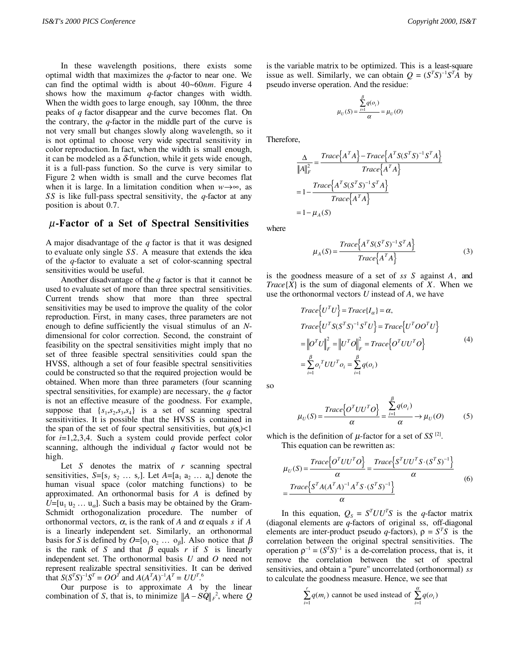In these wavelength positions, there exists some optimal width that maximizes the *q*-factor to near one. We can find the optimal width is about 40~60*nm*. Figure 4 shows how the maximum *q*-factor changes with width. When the width goes to large enough, say 100nm, the three peaks of *q* factor disappear and the curve becomes flat. On the contrary, the *q*-factor in the middle part of the curve is not very small but changes slowly along wavelength, so it is not optimal to choose very wide spectral sensitivity in color reproduction. In fact, when the width is small enough, it can be modeled as a  $\delta$ -function, while it gets wide enough, it is a full-pass function. So the curve is very similar to Figure 2 when width is small and the curve becomes flat when it is large. In a limitation condition when  $w \rightarrow \infty$ , as *SS* is like full-pass spectral sensitivity, the *q*-factor at any position is about 0.7.

## µ**-Factor of a Set of Spectral Sensitivities**

A major disadvantage of the *q* factor is that it was designed to evaluate only single *SS*. A measure that extends the idea of the *q*-factor to evaluate a set of color-scanning spectral sensitivities would be useful.

Another disadvantage of the *q* factor is that it cannot be used to evaluate set of more than three spectral sensitivities. Current trends show that more than three spectral sensitivities may be used to improve the quality of the color reproduction. First, in many cases, three parameters are not enough to define sufficiently the visual stimulus of an *N*dimensional for color correction. Second, the constraint of feasibility on the spectral sensitivities might imply that no set of three feasible spectral sensitivities could span the HVSS, although a set of four feasible spectral sensitivities could be constructed so that the required projection would be obtained. When more than three parameters (four scanning spectral sensitivities, for example) are necessary, the *q* factor is not an effective measure of the goodness. For example, suppose that  $\{s_1, s_2, s_3, s_4\}$  is a set of scanning spectral sensitivities. It is possible that the HVSS is contained in the span of the set of four spectral sensitivities, but  $q(s_i)$ <1 for *i*=1,2,3,4. Such a system could provide perfect color scanning, although the individual *q* factor would not be high.

Let *S* denotes the matrix of *r* scanning spectral sensitivities,  $S=[s_1 s_2 \ldots s_r]$ . Let  $A=[a_1 a_2 \ldots a_s]$  denote the human visual space (color matching functions) to be approximated. An orthonormal basis for *A* is defined by  $U=[u_1 u_2 ... u_{\alpha}]$ . Such a basis may be obtained by the Gram-Schmidt orthogonalization procedure. The number of orthonormal vectors,  $\alpha$ , is the rank of *A* and  $\alpha$  equals *s* if *A* is a linearly independent set. Similarly, an orthonormal basis for *S* is defined by  $O=[o_1 o_2 ... o_\beta]$ . Also notice that  $\beta$ is the rank of *S* and that  $\beta$  equals *r* if *S* is linearly independent set. The orthonormal basis *U* and *O* need not represent realizable spectral sensitivities. It can be derived that  $S(S^T S)^{-1} S^T = O O^T$  and  $A(A^T A)^{-1} A^T = U U^T$ .<sup>6</sup>

Our purpose is to approximate *A* by the linear combination of *S*, that is, to minimize  $||A - SQ||_F^2$ , where *Q* 

is the variable matrix to be optimized. This is a least-square issue as well. Similarly, we can obtain  $Q = (S^T S)^{-1} S^T A$  by pseudo inverse operation. And the residue:

$$
\mu_U(S) = \frac{\sum_{i=1}^{\beta} q(o_i)}{\alpha} = \mu_U(O)
$$

Therefore,

$$
\frac{\Delta}{\left\|A\right\|_{F}^{2}} = \frac{Trace\left\{A^{T}A\right\} - Trace\left\{A^{T}S(S^{T}S)^{-1}S^{T}A\right\}}{Trace\left\{A^{T}A\right\}}
$$

$$
= 1 - \frac{Trace\left\{A^{T}S(S^{T}S)^{-1}S^{T}A\right\}}{Trace\left\{A^{T}A\right\}}
$$

$$
= 1 - \mu_{A}(S)
$$

where

$$
\mu_A(S) = \frac{Trace\left\{A^TS(S^TS)^{-1}S^TA\right\}}{Trace\left\{A^TA\right\}}
$$
\n(3)

is the goodness measure of a set of *ss S* against *A*, and *Trace* ${X}$  is the sum of diagonal elements of *X*. When we use the orthonormal vectors *U* instead of *A*, we have

$$
Trace\{U^T U\} = Trace\{I_{\alpha}\} = \alpha,
$$
  
\n
$$
Trace\{U^T S (S^T S)^{-1} S^T U\} = Trace\{U^T O O^T U\}
$$
  
\n
$$
= ||O^T U||_F^2 = ||U^T O||_F^2 = Trace\{O^T U U^T O\}
$$
  
\n
$$
= \sum_{i=1}^{\beta} o_i^T U U^T o_i = \sum_{i=1}^{\beta} q(o_i)
$$
 (4)

so

$$
\mu_U(S) = \frac{Trace\{O^T U U^T O\}}{\alpha} = \frac{\sum_{i=1}^{\beta} q(o_i)}{\alpha} \rightarrow \mu_U(O) \tag{5}
$$

which is the definition of  $\mu$ -factor for a set of *SS*<sup>[2]</sup>. This equation can be rewritten as:

$$
\mu_U(S) = \frac{Trace\{O^T U U^T O\}}{\alpha} = \frac{Trace\{S^T U U^T S \cdot (S^T S)^{-1}\}}{\alpha}
$$
\n
$$
= \frac{Trace\{S^T A (A^T A)^{-1} A^T S \cdot (S^T S)^{-1}\}}{\alpha}
$$
\n(6)

In this equation,  $Q_s = S^T U U^T S$  is the *q*-factor matrix (diagonal elements are *q*-factors of original ss, off-diagonal elements are inter-product pseudo *q*-factors),  $\rho = S^T S$  is the correlation between the original spectral sensitivities. The operation  $\rho^{-1} = (S^T S)^{-1}$  is a de-correlation process, that is, it remove the correlation between the set of spectral sensitivies, and obtain a "pure" uncorrelated (orthonormal) *ss* to calculate the goodness measure. Hence, we see that

$$
\sum_{i=1}^{r} q(m_i)
$$
 cannot be used instead of 
$$
\sum_{i=1}^{\alpha} q(o_i)
$$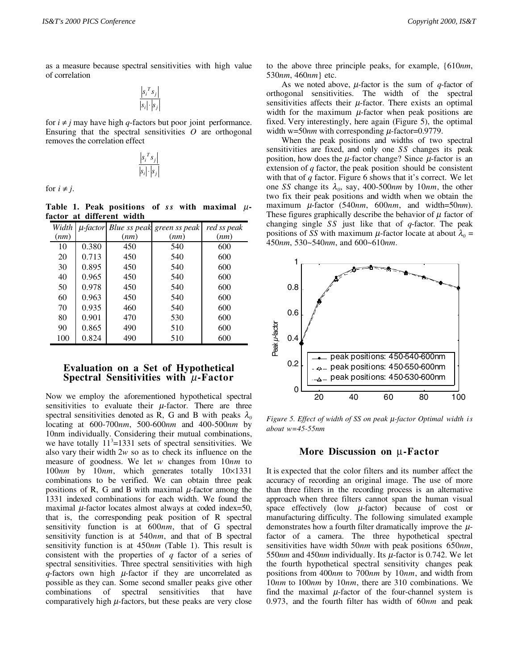as a measure because spectral sensitivities with high value of correlation

$$
\frac{\left| s_i^T s_j \right|}{\left| s_i \right| \cdot \left| s_j \right|}
$$

for  $i \neq j$  may have high *q*-factors but poor joint performance. Ensuring that the spectral sensitivities *O* are orthogonal removes the correlation effect

$$
\frac{\left| s_i^T s_j \right|}{\left| s_i \right| \cdot \left| s_j \right|}
$$

for  $i \neq j$ .

Table 1. Peak positions of  $ss$  with maximal  $\mu$ **factor at different width**

| Width |       |      | $\mu$ -factor Blue ss peak green ss peak | red ss peak |
|-------|-------|------|------------------------------------------|-------------|
| (nm)  |       | (nm) | (nm)                                     | (nm)        |
| 10    | 0.380 | 450  | 540                                      | 600         |
| 20    | 0.713 | 450  | 540                                      | 600         |
| 30    | 0.895 | 450  | 540                                      | 600         |
| 40    | 0.965 | 450  | 540                                      | 600         |
| 50    | 0.978 | 450  | 540                                      | 600         |
| 60    | 0.963 | 450  | 540                                      | 600         |
| 70    | 0.935 | 460  | 540                                      | 600         |
| 80    | 0.901 | 470  | 530                                      | 600         |
| 90    | 0.865 | 490  | 510                                      | 600         |
| 100   | 0.824 | 490  | 510                                      | 600         |

#### **Evaluation on a Set of Hypothetical Spectral Sensitivities with** µ**-Factor**

Now we employ the aforementioned hypothetical spectral sensitivities to evaluate their  $\mu$ -factor. There are three spectral sensitivities denoted as R, G and B with peaks  $\lambda_0$ locating at 600-700*nm*, 500-600*nm* and 400-500*nm* by 10nm individually. Considering their mutual combinations, we have totally  $11<sup>3</sup>=1331$  sets of spectral sensitivities. We also vary their width 2*w* so as to check its influence on the measure of goodness. We let *w* changes from 10*nm* to 100*nm* by 10*nm*, which generates totally 10×1331 combinations to be verified. We can obtain three peak positions of R, G and B with maximal  $\mu$ -factor among the 1331 indexed combinations for each width. We found the maximal  $\mu$ -factor locates almost always at coded index=50, that is, the corresponding peak position of R spectral sensitivity function is at 600*nm*, that of G spectral sensitivity function is at 540*nm*, and that of B spectral sensitivity function is at 450*nm* (Table 1). This result is consistent with the properties of *q* factor of a series of spectral sensitivities. Three spectral sensitivities with high  $q$ -factors own high  $\mu$ -factor if they are uncorrelated as possible as they can. Some second smaller peaks give other combinations of spectral sensitivities that have comparatively high  $\mu$ -factors, but these peaks are very close to the above three principle peaks, for example, {610*nm*, 530*nm*, 460*nm*} etc.

As we noted above,  $\mu$ -factor is the sum of  $q$ -factor of orthogonal sensitivities. The width of the spectral sensitivities affects their  $\mu$ -factor. There exists an optimal width for the maximum  $\mu$ -factor when peak positions are fixed. Very interestingly, here again (Figure 5), the optimal width w=50 $nm$  with corresponding  $\mu$ -factor=0.9779.

When the peak positions and widths of two spectral sensitivities are fixed, and only one *SS* changes its peak position, how does the  $\mu$ -factor change? Since  $\mu$ -factor is an extension of *q* factor, the peak position should be consistent with that of *q* factor. Figure 6 shows that it's correct. We let one *SS* change its  $\lambda_0$ , say, 400-500*nm* by 10*nm*, the other two fix their peak positions and width when we obtain the maximum µ-factor (540*nm*, 600*nm*, and width=50*nm*). These figures graphically describe the behavior of  $\mu$  factor of changing single *SS* just like that of *q*-factor. The peak positions of *SS* with maximum  $\mu$ -factor locate at about  $\lambda_0$  = 450*nm*, 530~540*nm*, and 600~610*nm*.



*Figure 5. Effect of width of SS on peak* µ*-factor Optimal width is about w=45-55nm*

#### **More Discussion on** µ**-Factor**

It is expected that the color filters and its number affect the accuracy of recording an original image. The use of more than three filters in the recording process is an alternative approach when three filters cannot span the human visual space effectively (low  $\mu$ -factor) because of cost or manufacturing difficulty. The following simulated example demonstrates how a fourth filter dramatically improve the  $\mu$ factor of a camera. The three hypothetical spectral sensitivities have width 50*nm* with peak positions 650*nm*, 550*nm* and 450*nm* individually. Its µ-factor is 0.742. We let the fourth hypothetical spectral sensitivity changes peak positions from 400*nm* to 700*nm* by 10*nm*, and width from 10*nm* to 100*nm* by 10*nm*, there are 310 combinations. We find the maximal  $\mu$ -factor of the four-channel system is 0.973, and the fourth filter has width of 60*nm* and peak